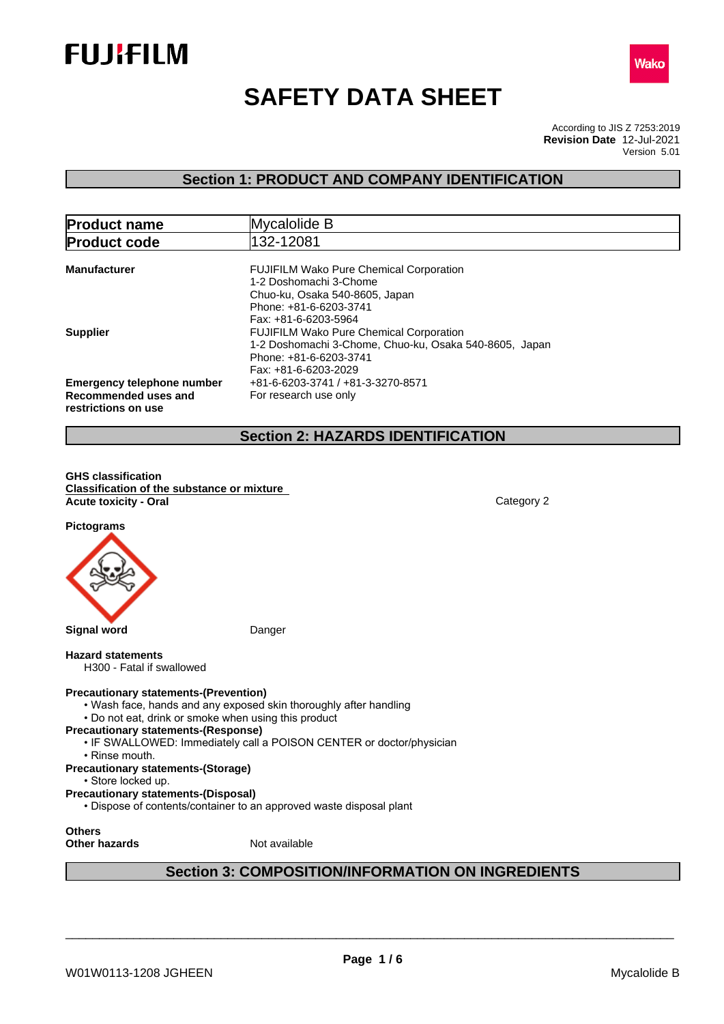



# **SAFETY DATA SHEET**

According to JIS Z 7253:2019 Version 5.01 **Revision Date** 12-Jul-2021

## **Section 1: PRODUCT AND COMPANY IDENTIFICATION**

| <b>Product name</b>                                                       | Mycalolide B                                                                                                                                                                       |  |
|---------------------------------------------------------------------------|------------------------------------------------------------------------------------------------------------------------------------------------------------------------------------|--|
| <b>Product code</b>                                                       | 132-12081                                                                                                                                                                          |  |
| <b>Manufacturer</b>                                                       | <b>FUJIFILM Wako Pure Chemical Corporation</b><br>1-2 Doshomachi 3-Chome<br>Chuo-ku, Osaka 540-8605, Japan<br>Phone: +81-6-6203-3741                                               |  |
| <b>Supplier</b>                                                           | Fax: +81-6-6203-5964<br><b>FUJIFILM Wako Pure Chemical Corporation</b><br>1-2 Doshomachi 3-Chome, Chuo-ku, Osaka 540-8605, Japan<br>Phone: +81-6-6203-3741<br>Fax: +81-6-6203-2029 |  |
| Emergency telephone number<br>Recommended uses and<br>restrictions on use | +81-6-6203-3741 / +81-3-3270-8571<br>For research use only                                                                                                                         |  |

## **Section 2: HAZARDS IDENTIFICATION**

**GHS classification Classification of the substance or mixture Acute toxicity - Oral** Category 2

**Pictograms**



#### **Hazard statements**

H300 - Fatal if swallowed

#### **Precautionary statements-(Prevention)**

- Wash face, hands and any exposed skin thoroughly after handling
- Do not eat, drink or smoke when using this product
- **Precautionary statements-(Response)**
	- IF SWALLOWED: Immediately call a POISON CENTER or doctor/physician
		- Rinse mouth.
- **Precautionary statements-(Storage)**
- Store locked up.
- **Precautionary statements-(Disposal)**
- Dispose of contents/container to an approved waste disposal plant

**Others**

**Other hazards** Not available

## **Section 3: COMPOSITION/INFORMATION ON INGREDIENTS**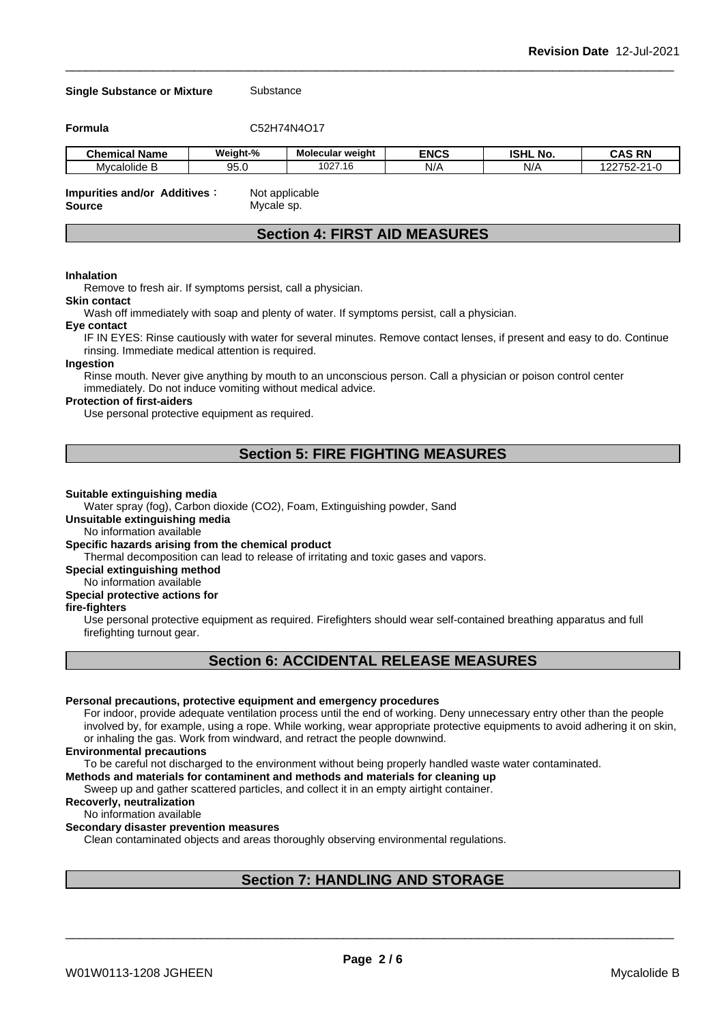| <b>Single Substance or Mixture</b> |          | Substance               |             |                 |               |  |
|------------------------------------|----------|-------------------------|-------------|-----------------|---------------|--|
| <b>Formula</b>                     |          | C52H74N4O17             |             |                 |               |  |
| <b>Chemical Name</b>               | Weight-% | <b>Molecular weight</b> | <b>ENCS</b> | <b>ISHL No.</b> | <b>CAS RN</b> |  |
| Mycalolide B                       | 95.0     | 1027.16                 | N/A         | N/A             | 122752-21-0   |  |

## **Section 4: FIRST AID MEASURES**

#### **Inhalation**

Remove to fresh air. If symptoms persist, call a physician.

#### **Skin contact**

Wash off immediately with soap and plenty of water. If symptoms persist, call a physician.

#### **Eye contact**

IF IN EYES: Rinse cautiously with water for several minutes. Remove contact lenses, if present and easy to do. Continue rinsing. Immediate medical attention is required.

#### **Ingestion**

Rinse mouth. Never give anything by mouth to an unconscious person. Call a physician or poison control center immediately. Do not induce vomiting without medical advice.

#### **Protection of first-aiders**

Use personal protective equipment as required.

## **Section 5: FIRE FIGHTING MEASURES**

#### **Suitable extinguishing media**

Water spray (fog), Carbon dioxide (CO2), Foam, Extinguishing powder, Sand

**Unsuitable extinguishing media**

No information available

#### **Specific hazards arising from the chemical product**

Thermal decomposition can lead to release of irritating and toxic gases and vapors.

## **Special extinguishing method**

No information available

## **Special protective actions for**

**fire-fighters**

Use personal protective equipment as required.Firefighters should wear self-contained breathing apparatus and full firefighting turnout gear.

## **Section 6: ACCIDENTAL RELEASE MEASURES**

#### **Personal precautions, protective equipment and emergency procedures**

For indoor, provide adequate ventilation process until the end of working. Deny unnecessary entry other than the people involved by, for example, using a rope. While working, wear appropriate protective equipments to avoid adhering it on skin, or inhaling the gas. Work from windward, and retract the people downwind.

#### **Environmental precautions**

To be careful not discharged to the environment without being properly handled waste water contaminated.

**Methods and materials for contaminent and methods and materials for cleaning up**

Sweep up and gather scattered particles, and collect it in an empty airtight container.

### **Recoverly, neutralization**

No information available

#### **Secondary disaster prevention measures**

Clean contaminated objects and areas thoroughly observing environmental regulations.

## **Section 7: HANDLING AND STORAGE**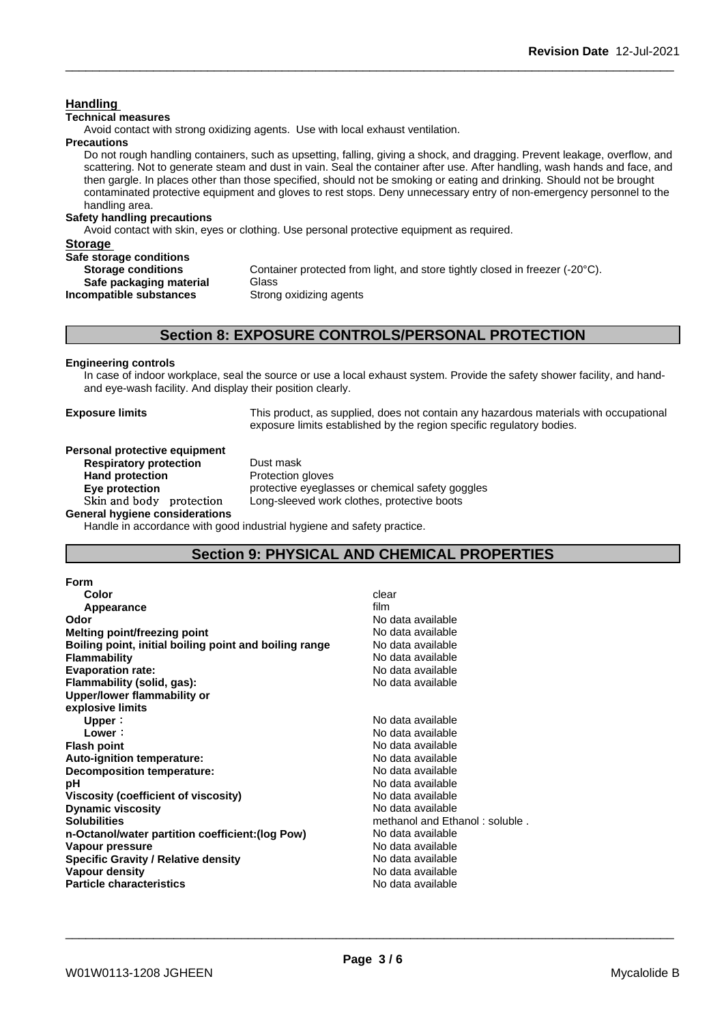## **Technical measures** Avoid contact with strong oxidizing agents. Use with local exhaust ventilation. **Precautions** Do not rough handling containers, such as upsetting, falling, giving a shock, and dragging. Prevent leakage, overflow, and scattering. Not to generate steam and dust in vain. Seal the container after use. After handling, wash hands and face, and then gargle. In places other than those specified, should not be smoking or eating and drinking. Should not be brought contaminated protective equipment and gloves to rest stops. Deny unnecessary entry of non-emergency personnel to the handling area. **Safety handling precautions** Avoid contact with skin, eyes or clothing. Use personal protective equipment as required.**Storage Safe storage conditions Storage conditions** Container protected from light, and store tightly closed in freezer (-20°C). **Safe packaging material** Glass<br>**ompatible substances** Strong oxidizing agents **Incompatible substances Section 8: EXPOSURE CONTROLS/PERSONAL PROTECTION Engineering controls** In case of indoor workplace, seal the source or use a local exhaust system. Provide the safety shower facility, and hand-

**Handling** 

**Exposure limits** This product, as supplied, does not contain any hazardous materials with occupational exposure limits established by the region specific regulatory bodies.

## **Personal protective equipment**

**Respiratory protection** Dust mask **Hand protection** Protection gloves

**Eye protection** protective eyeglasses or chemical safety goggles Skin and body protection Long-sleeved work clothes, protective boots

**General hygiene considerations** Handle in accordance with good industrial hygiene and safety practice.

and eye-wash facility. And display their position clearly.

## **Section 9: PHYSICAL AND CHEMICAL PROPERTIES**

| Form                                                   |                                |
|--------------------------------------------------------|--------------------------------|
| Color                                                  | clear                          |
| Appearance                                             | film                           |
| Odor                                                   | No data available              |
| Melting point/freezing point                           | No data available              |
| Boiling point, initial boiling point and boiling range | No data available              |
| <b>Flammability</b>                                    | No data available              |
| <b>Evaporation rate:</b>                               | No data available              |
| Flammability (solid, gas):                             | No data available              |
| Upper/lower flammability or                            |                                |
| explosive limits                                       |                                |
| Upper:                                                 | No data available              |
| Lower:                                                 | No data available              |
| <b>Flash point</b>                                     | No data available              |
| Auto-ignition temperature:                             | No data available              |
| Decomposition temperature:                             | No data available              |
| рH                                                     | No data available              |
| <b>Viscosity (coefficient of viscosity)</b>            | No data available              |
| <b>Dynamic viscosity</b>                               | No data available              |
| <b>Solubilities</b>                                    | methanol and Ethanol: soluble. |
| n-Octanol/water partition coefficient: (log Pow)       | No data available              |
| Vapour pressure                                        | No data available              |
| Specific Gravity / Relative density                    | No data available              |
| <b>Vapour density</b>                                  | No data available              |
| <b>Particle characteristics</b>                        | No data available              |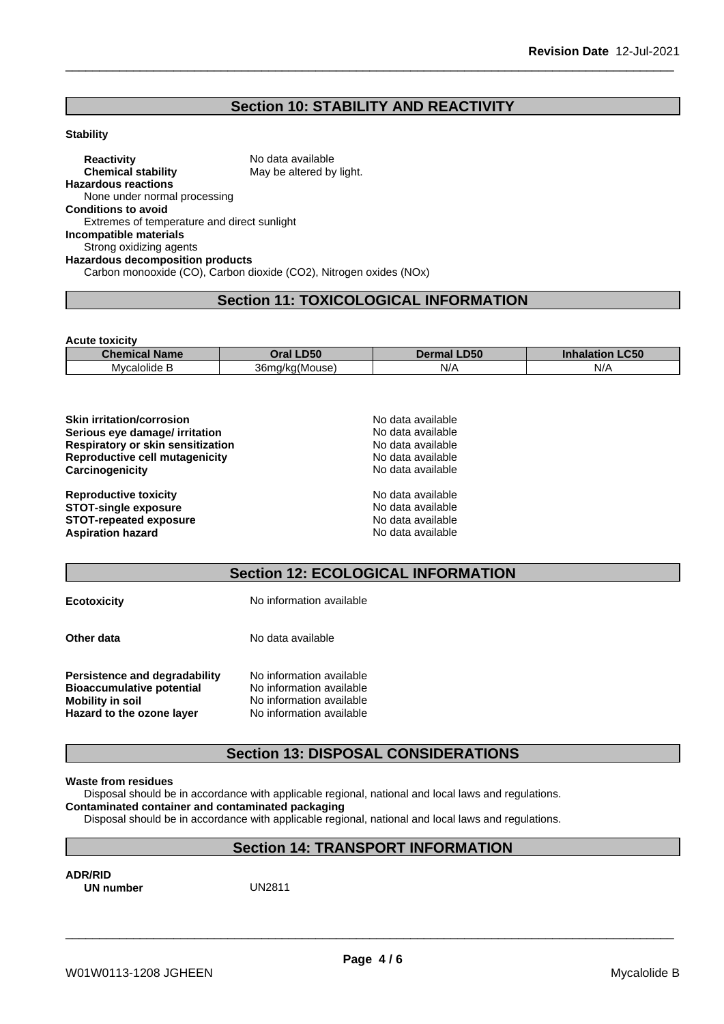## **Section 10: STABILITY AND REACTIVITY**

#### **Stability**

**Reactivity** No data available<br> **Chemical stability** May be altered by May be altered by light. **Hazardous reactions** None under normal processing **Conditions to avoid** Extremes of temperature and direct sunlight **Incompatible materials** Strong oxidizing agents **Hazardous decomposition products** Carbon monooxide (CO), Carbon dioxide (CO2), Nitrogen oxides (NOx)

## **Section 11: TOXICOLOGICAL INFORMATION**

**Acute toxicity**

| ~<br>Chemical<br>$\sim$ $\sim$ $\sim$ $\sim$<br><b>Name</b> | DEO                                                        | IDEG<br>יטכע. | <b>CEC</b><br>- CJL<br>ınnala<br>нон |
|-------------------------------------------------------------|------------------------------------------------------------|---------------|--------------------------------------|
| $\cdot$ .<br>Mvcalolide .                                   | $\overline{\phantom{a}}$<br>36 <sub>m</sub><br>ว/ka(Mouse) | N/A<br>. .    | N/                                   |

| <b>Skin irritation/corrosion</b>  | No data available |  |
|-----------------------------------|-------------------|--|
| Serious eye damage/ irritation    | No data available |  |
| Respiratory or skin sensitization | No data available |  |
| Reproductive cell mutagenicity    | No data available |  |
| Carcinogenicity                   | No data available |  |
| <b>Reproductive toxicity</b>      | No data available |  |
| <b>STOT-single exposure</b>       | No data available |  |
| <b>STOT-repeated exposure</b>     | No data available |  |
| <b>Aspiration hazard</b>          | No data available |  |

## **Section 12: ECOLOGICAL INFORMATION**

| <b>Ecotoxicity</b>                                                                                                        | No information available                                                                                     |
|---------------------------------------------------------------------------------------------------------------------------|--------------------------------------------------------------------------------------------------------------|
| Other data                                                                                                                | No data available                                                                                            |
| <b>Persistence and degradability</b><br><b>Bioaccumulative potential</b><br>Mobility in soil<br>Hazard to the ozone layer | No information available<br>No information available<br>No information available<br>No information available |

## **Section 13: DISPOSAL CONSIDERATIONS**

#### **Waste from residues**

Disposal should be in accordance with applicable regional, national and local laws and regulations.

**Contaminated container and contaminated packaging**

Disposal should be in accordance with applicable regional, national and local laws and regulations.

## **Section 14: TRANSPORT INFORMATION**

**ADR/RID**<br> **UN number** UN2811 **UN number**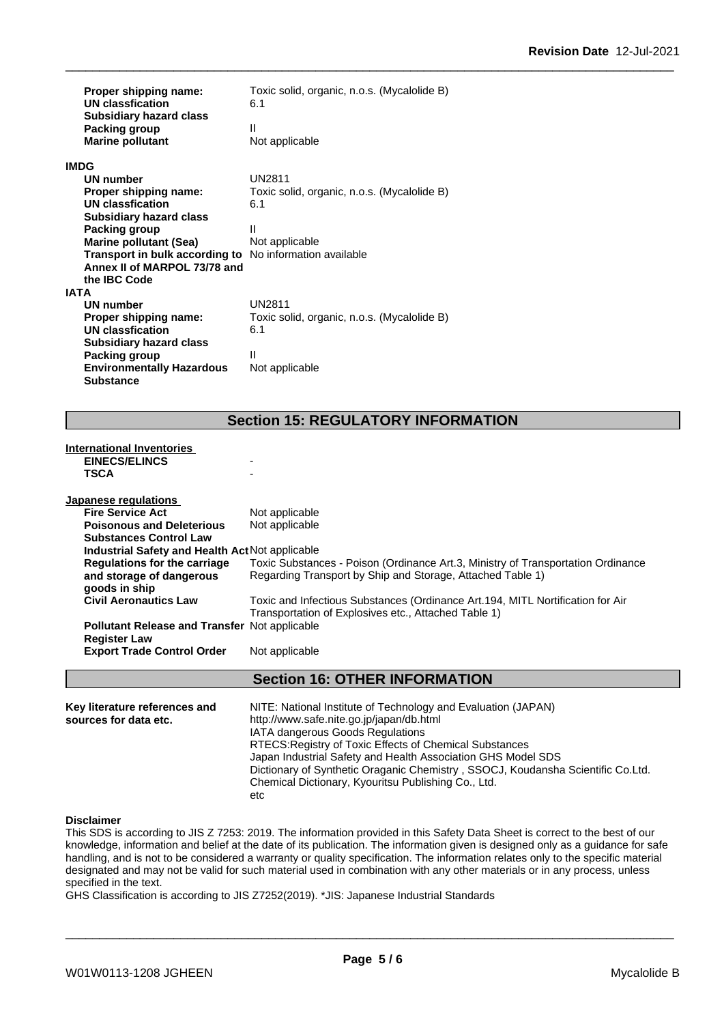| Proper shipping name:<br>UN classfication                                  | Toxic solid, organic, n.o.s. (Mycalolide B)<br>6.1 |
|----------------------------------------------------------------------------|----------------------------------------------------|
| <b>Subsidiary hazard class</b><br>Packing group<br><b>Marine pollutant</b> | Ш<br>Not applicable                                |
| <b>IMDG</b>                                                                |                                                    |
| UN number                                                                  | <b>UN2811</b>                                      |
| Proper shipping name:                                                      | Toxic solid, organic, n.o.s. (Mycalolide B)        |
| UN classfication                                                           | 6.1                                                |
| <b>Subsidiary hazard class</b>                                             |                                                    |
| Packing group                                                              | Ш                                                  |
| <b>Marine pollutant (Sea)</b>                                              | Not applicable                                     |
| Transport in bulk according to                                             | No information available                           |
| Annex II of MARPOL 73/78 and                                               |                                                    |
| the IBC Code                                                               |                                                    |
| <b>IATA</b>                                                                |                                                    |
| UN number                                                                  | <b>UN2811</b>                                      |
| Proper shipping name:                                                      | Toxic solid, organic, n.o.s. (Mycalolide B)        |
| UN classfication                                                           | 6.1                                                |
| <b>Subsidiary hazard class</b>                                             |                                                    |
| Packing group                                                              | Ш                                                  |
| <b>Environmentally Hazardous</b>                                           | Not applicable                                     |
| <b>Substance</b>                                                           |                                                    |

## **Section 15: REGULATORY INFORMATION**

| <b>International Inventories</b>                                            |                                                                                                                                        |  |  |  |
|-----------------------------------------------------------------------------|----------------------------------------------------------------------------------------------------------------------------------------|--|--|--|
| <b>EINECS/ELINCS</b>                                                        |                                                                                                                                        |  |  |  |
| TSCA                                                                        |                                                                                                                                        |  |  |  |
| Japanese regulations                                                        |                                                                                                                                        |  |  |  |
| <b>Fire Service Act</b>                                                     | Not applicable                                                                                                                         |  |  |  |
| <b>Poisonous and Deleterious</b>                                            | Not applicable                                                                                                                         |  |  |  |
| <b>Substances Control Law</b>                                               |                                                                                                                                        |  |  |  |
| <b>Industrial Safety and Health Act Not applicable</b>                      |                                                                                                                                        |  |  |  |
| Regulations for the carriage                                                | Toxic Substances - Poison (Ordinance Art.3, Ministry of Transportation Ordinance                                                       |  |  |  |
| and storage of dangerous                                                    | Regarding Transport by Ship and Storage, Attached Table 1)                                                                             |  |  |  |
| goods in ship                                                               |                                                                                                                                        |  |  |  |
| <b>Civil Aeronautics Law</b>                                                | Toxic and Infectious Substances (Ordinance Art.194, MITL Nortification for Air<br>Transportation of Explosives etc., Attached Table 1) |  |  |  |
| <b>Pollutant Release and Transfer Not applicable</b><br><b>Register Law</b> |                                                                                                                                        |  |  |  |
| <b>Export Trade Control Order</b>                                           | Not applicable                                                                                                                         |  |  |  |
|                                                                             | <b>Section 16: OTHER INFORMATION</b>                                                                                                   |  |  |  |
| Key literature references and                                               | NITE: National Institute of Technology and Evaluation (JAPAN)                                                                          |  |  |  |
| courses for data ats                                                        | http://www.cofo.nito.go.ip/ionon/dh.html                                                                                               |  |  |  |

**Key literature references and NITE**: National Institute of Technology and Evaluation (JAPAN)<br>**sources for data etc.** http://www.safe.nite.go.jp/japan/db.html IATA dangerous Goods Regulations RTECS:Registry of Toxic Effects of Chemical Substances Japan Industrial Safety and Health Association GHS Model SDS Dictionary of Synthetic Oraganic Chemistry , SSOCJ, Koudansha Scientific Co.Ltd. Chemical Dictionary, Kyouritsu Publishing Co., Ltd. etc

#### **Disclaimer**

This SDS is according to JIS Z 7253: 2019. The information provided in this Safety Data Sheet is correct to the best of our knowledge, information and belief at the date of its publication. The information given is designed only as a guidance for safe handling, and is not to be considered a warranty or quality specification. The information relates only to the specific material designated and may not be valid for such material used in combination with any other materials or in any process, unless specified in the text.

GHS Classification is according to JIS Z7252(2019). \*JIS: Japanese Industrial Standards